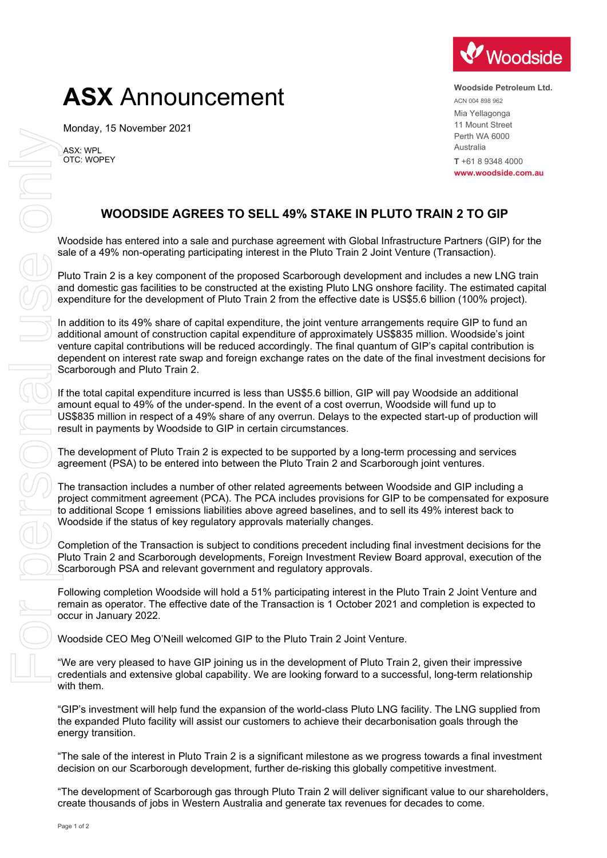# **ASX** Announcement

Monday, 15 November 2021

ASX: WPL OTC: WOPEY



**Woodside Petroleum Ltd.** ACN 004 898 962 Mia Yellagonga 11 Mount Street Perth WA 6000 Australia **T** +61 8 9348 4000 **www.woodside.com.au**

# **WOODSIDE AGREES TO SELL 49% STAKE IN PLUTO TRAIN 2 TO GIP**

Woodside has entered into a sale and purchase agreement with Global Infrastructure Partners (GIP) for the sale of a 49% non-operating participating interest in the Pluto Train 2 Joint Venture (Transaction).

Pluto Train 2 is a key component of the proposed Scarborough development and includes a new LNG train and domestic gas facilities to be constructed at the existing Pluto LNG onshore facility. The estimated capital expenditure for the development of Pluto Train 2 from the effective date is US\$5.6 billion (100% project).

In addition to its 49% share of capital expenditure, the joint venture arrangements require GIP to fund an additional amount of construction capital expenditure of approximately US\$835 million. Woodside's joint venture capital contributions will be reduced accordingly. The final quantum of GIP's capital contribution is dependent on interest rate swap and foreign exchange rates on the date of the final investment decisions for Scarborough and Pluto Train 2.

If the total capital expenditure incurred is less than US\$5.6 billion, GIP will pay Woodside an additional amount equal to 49% of the under-spend. In the event of a cost overrun, Woodside will fund up to US\$835 million in respect of a 49% share of any overrun. Delays to the expected start-up of production will result in payments by Woodside to GIP in certain circumstances.

The development of Pluto Train 2 is expected to be supported by a long-term processing and services agreement (PSA) to be entered into between the Pluto Train 2 and Scarborough joint ventures.

The transaction includes a number of other related agreements between Woodside and GIP including a project commitment agreement (PCA). The PCA includes provisions for GIP to be compensated for exposure to additional Scope 1 emissions liabilities above agreed baselines, and to sell its 49% interest back to Woodside if the status of key regulatory approvals materially changes.

Completion of the Transaction is subject to conditions precedent including final investment decisions for the Pluto Train 2 and Scarborough developments, Foreign Investment Review Board approval, execution of the Scarborough PSA and relevant government and regulatory approvals.

Following completion Woodside will hold a 51% participating interest in the Pluto Train 2 Joint Venture and remain as operator. The effective date of the Transaction is 1 October 2021 and completion is expected to occur in January 2022.

Woodside CEO Meg O'Neill welcomed GIP to the Pluto Train 2 Joint Venture.

"We are very pleased to have GIP joining us in the development of Pluto Train 2, given their impressive credentials and extensive global capability. We are looking forward to a successful, long-term relationship with them.

"GIP's investment will help fund the expansion of the world-class Pluto LNG facility. The LNG supplied from the expanded Pluto facility will assist our customers to achieve their decarbonisation goals through the energy transition.

"The sale of the interest in Pluto Train 2 is a significant milestone as we progress towards a final investment decision on our Scarborough development, further de-risking this globally competitive investment.

"The development of Scarborough gas through Pluto Train 2 will deliver significant value to our shareholders,